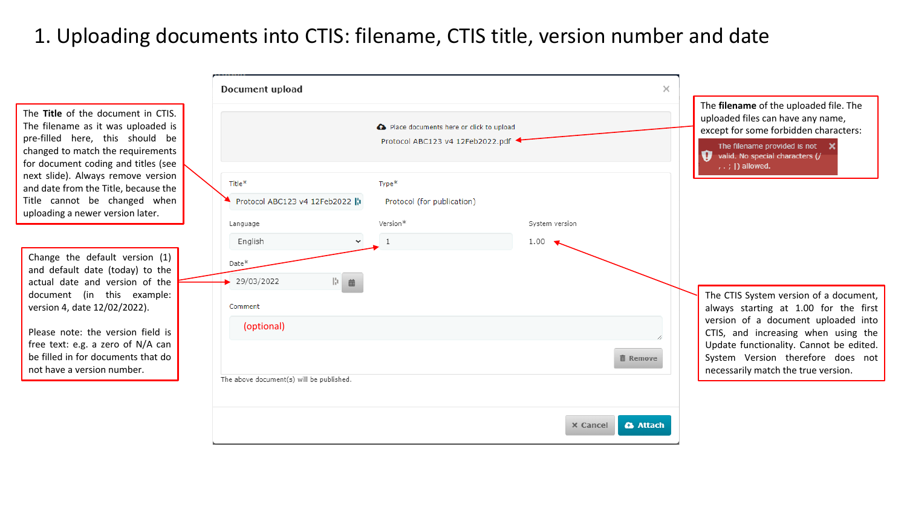# 1. Uploading documents into CTIS: filename, CTIS title, version number and date

The **Title** of the document in CTIS. The filename as it was uploaded is pre-filled here, this should be changed to match the requirements for document coding and titles (see next slide). Always remove version and date from the Title, because the Title cannot be changed when uploading a newer version later.

Change the default version (1) and default date (today) to the actual date and version of the document (in this example: version 4, date 12/02/2022).

Please note: the version field is free text: e.g. a zero of N/A can be filled in for documents that do not have a version number.

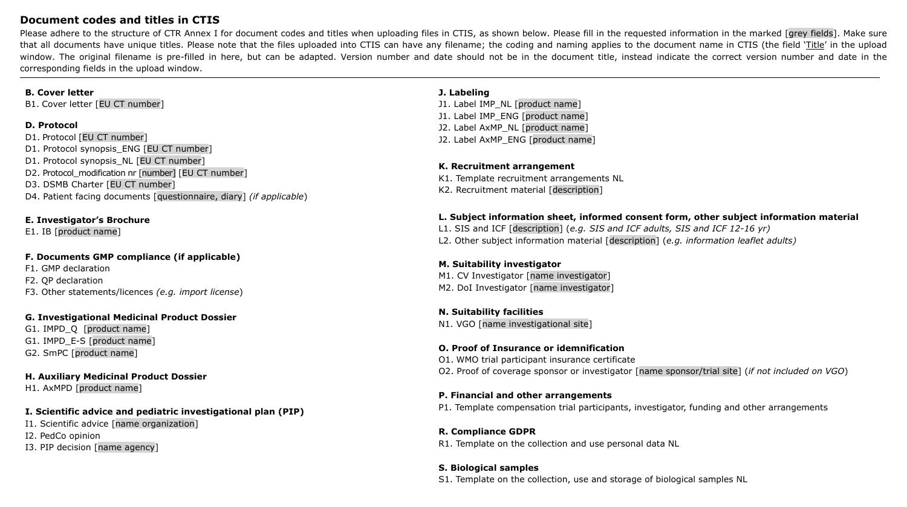### **Document codes and titles in CTIS**

Please adhere to the structure of CTR Annex I for document codes and titles when uploading files in CTIS, as shown below. Please fill in the requested information in the marked [grey fields]. Make sure that all documents have unique titles. Please note that the files uploaded into CTIS can have any filename; the coding and naming applies to the document name in CTIS (the field 'Title' in the upload window. The original filename is pre-filled in here, but can be adapted. Version number and date should not be in the document title, instead indicate the correct version number and date in the corresponding fields in the upload window.

#### **B. Cover letter**

B1. Cover letter [EU CT number]

#### **D. Protocol**

D1. Protocol [EU CT number] D1. Protocol synopsis\_ENG [EU CT number] D1. Protocol synopsis\_NL [EU CT number] D2. Protocol\_modification nr [number] [EU CT number] D3. DSMB Charter [EU CT number] D4. Patient facing documents [questionnaire, diary] *(if applicable*)

#### **E. Investigator's Brochure**

E1. IB [product name]

#### **F. Documents GMP compliance (if applicable)**

F1. GMP declaration F2. QP declaration F3. Other statements/licences *(e.g. import license*)

#### **G. Investigational Medicinal Product Dossier**

G1. IMPD\_Q [product name] G1. IMPD\_E-S [product name] G2. SmPC [product name]

# **H. Auxiliary Medicinal Product Dossier**

H1. AxMPD [product name]

#### **I. Scientific advice and pediatric investigational plan (PIP)**

I1. Scientific advice [name organization] I2. PedCo opinion I3. PIP decision [name agency]

#### **J. Labeling**

J1. Label IMP\_NL [product name] J1. Label IMP\_ENG [product name] J2. Label AxMP\_NL [product name] J2. Label AxMP\_ENG [product name]

#### **K. Recruitment arrangement**

K1. Template recruitment arrangements NL K2. Recruitment material [description]

#### **L. Subject information sheet, informed consent form, other subject information material**

L1. SIS and ICF [description] (*e.g. SIS and ICF adults, SIS and ICF 12-16 yr)* L2. Other subject information material [description] (*e.g. information leaflet adults)*

#### **M. Suitability investigator** M1. CV Investigator [name investigator]

M2. DoI Investigator [name investigator]

## **N. Suitability facilities**

N1. VGO [name investigational site]

#### **O. Proof of Insurance or idemnification**

O1. WMO trial participant insurance certificate O2. Proof of coverage sponsor or investigator [name sponsor/trial site] (*if not included on VGO*)

#### **P. Financial and other arrangements**

P1. Template compensation trial participants, investigator, funding and other arrangements

# **R. Compliance GDPR**

R1. Template on the collection and use personal data NL

## **S. Biological samples**

S1. Template on the collection, use and storage of biological samples NL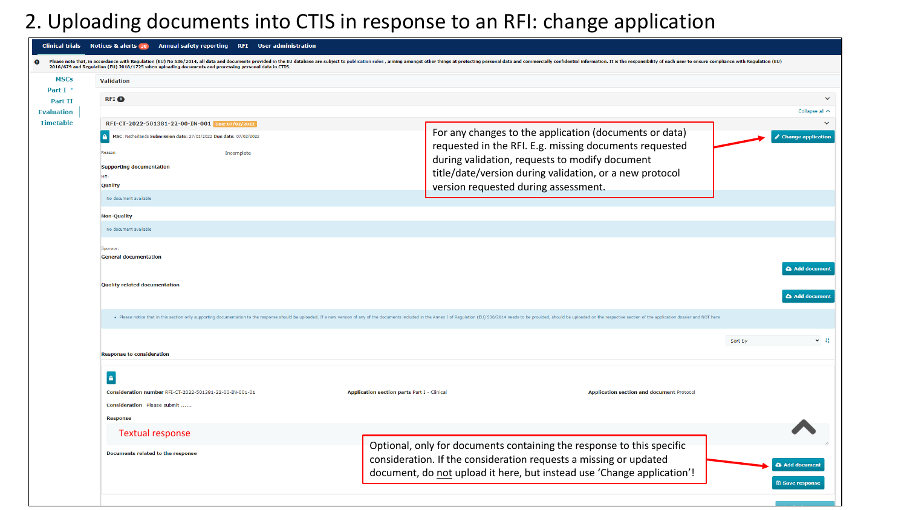# 2. Uploading documents into CTIS in response to an RFI: change application

| <b>Clinical trials</b>              | Notices & alerts 38 Annual safety reporting RFI User administration                                                                                                                                                            |                                                                                                                                                                                                                                                                       |                                       |  |  |  |  |
|-------------------------------------|--------------------------------------------------------------------------------------------------------------------------------------------------------------------------------------------------------------------------------|-----------------------------------------------------------------------------------------------------------------------------------------------------------------------------------------------------------------------------------------------------------------------|---------------------------------------|--|--|--|--|
|                                     | 2016/679 and Regulation (EU) 2018/1725 when uploading documents and processing personal data in CTIS.                                                                                                                          | Please note that, in accordance with Regulation (EU) No 536/2014, all data and documents provided in the EU database are subject to publication rules, aiming amongst other things at protecting personal data and commerciall                                        |                                       |  |  |  |  |
| <b>MSCs</b>                         | Validation                                                                                                                                                                                                                     |                                                                                                                                                                                                                                                                       |                                       |  |  |  |  |
| Part I .                            | <b>RFI</b> O                                                                                                                                                                                                                   |                                                                                                                                                                                                                                                                       | $\ddotmark$                           |  |  |  |  |
| <b>Part II</b><br><b>Evaluation</b> |                                                                                                                                                                                                                                |                                                                                                                                                                                                                                                                       | Collapse all $\sim$                   |  |  |  |  |
| <b>Timetable</b>                    | RFI-CT-2022-501381-22-00-IN-001 Due: 07/02/2022                                                                                                                                                                                |                                                                                                                                                                                                                                                                       | $\checkmark$                          |  |  |  |  |
|                                     | MSC: Netherlands Submission date: 27/01/2022 Due date: 07/02/2022<br>A<br>Reason<br>Incomplete<br><b>Supporting documentation</b><br>MS:<br><b>Quality</b>                                                                     | For any changes to the application (documents or data)<br>requested in the RFI. E.g. missing documents requested<br>during validation, requests to modify document<br>title/date/version during validation, or a new protocol<br>version requested during assessment. | <b>Change application</b>             |  |  |  |  |
|                                     | No document available                                                                                                                                                                                                          |                                                                                                                                                                                                                                                                       |                                       |  |  |  |  |
|                                     | <b>Non-Quality</b>                                                                                                                                                                                                             |                                                                                                                                                                                                                                                                       |                                       |  |  |  |  |
|                                     | No document available                                                                                                                                                                                                          |                                                                                                                                                                                                                                                                       |                                       |  |  |  |  |
|                                     | Sponsor:<br><b>General documentation</b>                                                                                                                                                                                       |                                                                                                                                                                                                                                                                       | <b>&amp; Add document</b>             |  |  |  |  |
|                                     | <b>Quality related documentation</b>                                                                                                                                                                                           |                                                                                                                                                                                                                                                                       | & Add documen                         |  |  |  |  |
|                                     | . Please notice that in this section only supporting documentation to the response should be uploaded. If a new version of any of the documents included in the Annex I of Regulation (EU) 536/2014 needs to be provided, shou |                                                                                                                                                                                                                                                                       |                                       |  |  |  |  |
|                                     |                                                                                                                                                                                                                                |                                                                                                                                                                                                                                                                       | $\vee$ $\frac{14}{2}$<br>Sort by      |  |  |  |  |
|                                     | <b>Response to consideration</b>                                                                                                                                                                                               |                                                                                                                                                                                                                                                                       |                                       |  |  |  |  |
|                                     | <b>A</b>                                                                                                                                                                                                                       |                                                                                                                                                                                                                                                                       |                                       |  |  |  |  |
|                                     | Consideration number RFI-CT-2022-501381-22-00-IN-001-01<br>Consideration Please submit                                                                                                                                         | Application section parts Part I - Clinical<br><b>Application section and document Protocol</b>                                                                                                                                                                       |                                       |  |  |  |  |
|                                     | <b>Response</b>                                                                                                                                                                                                                |                                                                                                                                                                                                                                                                       |                                       |  |  |  |  |
|                                     | <b>Textual response</b>                                                                                                                                                                                                        |                                                                                                                                                                                                                                                                       |                                       |  |  |  |  |
|                                     | Documents related to the response                                                                                                                                                                                              | Optional, only for documents containing the response to this specific<br>consideration. If the consideration requests a missing or updated<br>document, do not upload it here, but instead use 'Change application'!                                                  | <b>Add documen</b><br>圖 Save response |  |  |  |  |
|                                     |                                                                                                                                                                                                                                |                                                                                                                                                                                                                                                                       |                                       |  |  |  |  |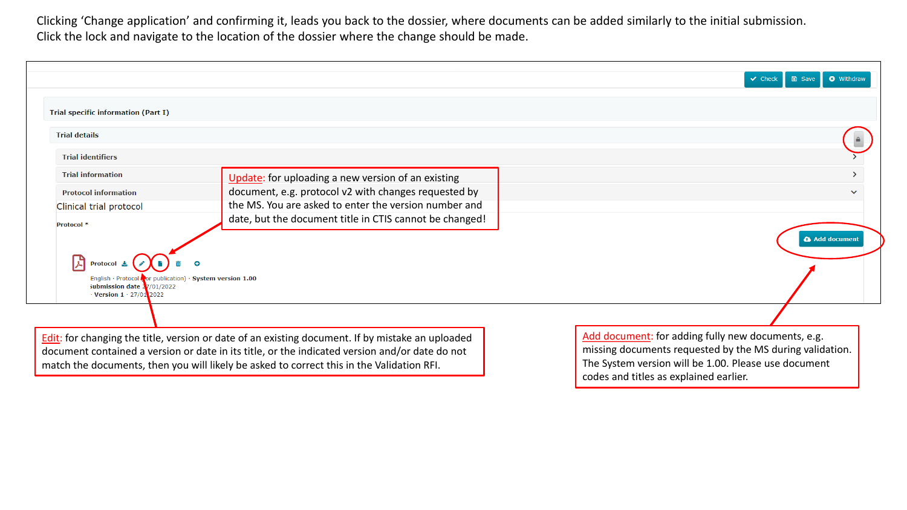Clicking 'Change application' and confirming it, leads you back to the dossier, where documents can be added similarly to the initial submission. Click the lock and navigate to the location of the dossier where the change should be made.

|                                                                                                                                                                   |                                                                                                                                                                                                                                                                                                 | <b>O</b> Withdraw<br>$\vee$ Check<br><b>圖 Save</b>                                                                                                                     |
|-------------------------------------------------------------------------------------------------------------------------------------------------------------------|-------------------------------------------------------------------------------------------------------------------------------------------------------------------------------------------------------------------------------------------------------------------------------------------------|------------------------------------------------------------------------------------------------------------------------------------------------------------------------|
| <b>Trial specific information (Part I)</b><br><b>Trial details</b>                                                                                                |                                                                                                                                                                                                                                                                                                 |                                                                                                                                                                        |
| <b>Trial identifiers</b>                                                                                                                                          |                                                                                                                                                                                                                                                                                                 |                                                                                                                                                                        |
| <b>Trial information</b>                                                                                                                                          | Update: for uploading a new version of an existing                                                                                                                                                                                                                                              | ≻                                                                                                                                                                      |
| <b>Protocol information</b>                                                                                                                                       | document, e.g. protocol v2 with changes requested by                                                                                                                                                                                                                                            | $\checkmark$                                                                                                                                                           |
| Clinical trial protocol                                                                                                                                           | the MS. You are asked to enter the version number and                                                                                                                                                                                                                                           |                                                                                                                                                                        |
| Protocol *<br><b>Protocol</b><br>English · Protocol Cor publication) · System version 1.00<br>Submission date $2/01/2022$<br>$\cdot$ Version 1 $\cdot$ 27/01 2022 | date, but the document title in CTIS cannot be changed!                                                                                                                                                                                                                                         | <b>Add documen</b>                                                                                                                                                     |
|                                                                                                                                                                   |                                                                                                                                                                                                                                                                                                 |                                                                                                                                                                        |
|                                                                                                                                                                   | Edit: for changing the title, version or date of an existing document. If by mistake an uploaded<br>document contained a version or date in its title, or the indicated version and/or date do not<br>match the documents, then you will likely be asked to correct this in the Validation RFI. | Add document: for adding fully new documents, e.g.<br>missing documents requested by the MS during validation.<br>The System version will be 1.00. Please use document |

codes and titles as explained earlier.